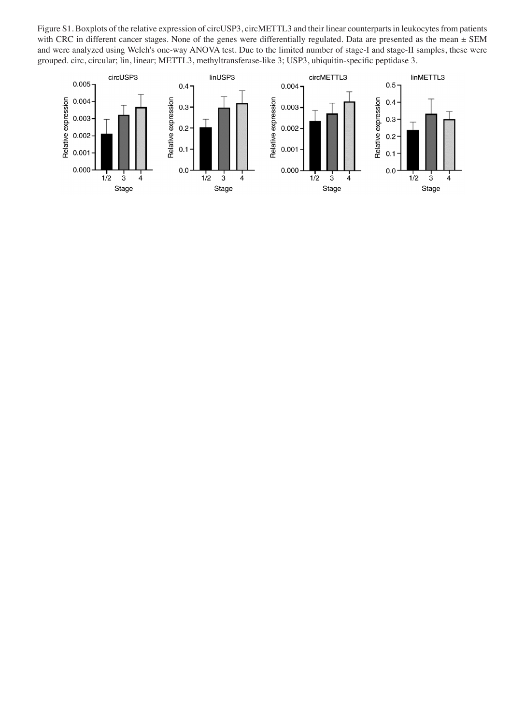Figure S1. Boxplots of the relative expression of circUSP3, circMETTL3 and their linear counterparts in leukocytes from patients with CRC in different cancer stages. None of the genes were differentially regulated. Data are presented as the mean  $\pm$  SEM and were analyzed using Welch's one-way ANOVA test. Due to the limited number of stage-I and stage-II samples, these were grouped. circ, circular; lin, linear; METTL3, methyltransferase-like 3; USP3, ubiquitin-specific peptidase 3.

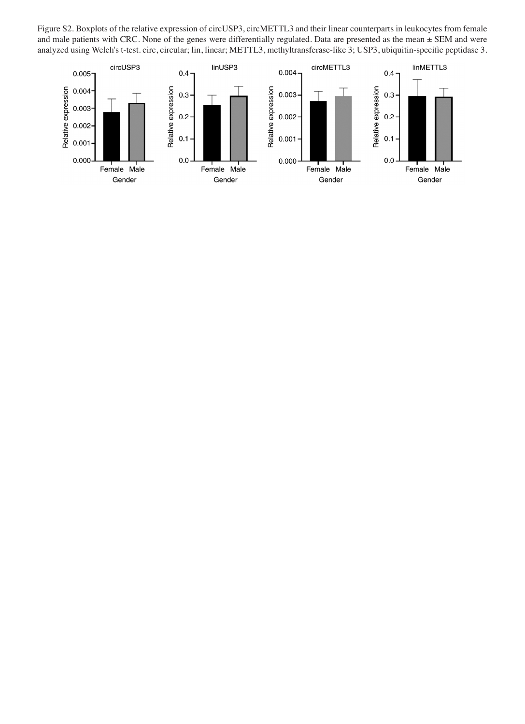Figure S2. Boxplots of the relative expression of circUSP3, circMETTL3 and their linear counterparts in leukocytes from female and male patients with CRC. None of the genes were differentially regulated. Data are presented as the mean  $\pm$  SEM and were analyzed using Welch's t-test. circ, circular; lin, linear; METTL3, methyltransferase-like 3; USP3, ubiquitin-specific peptidase 3.

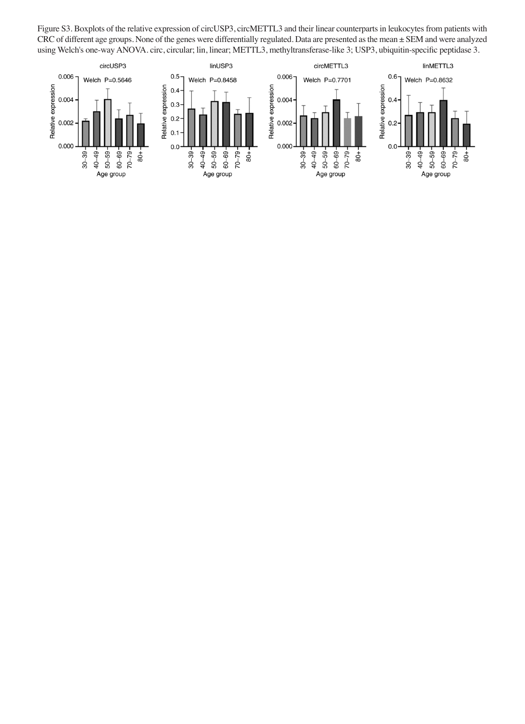Figure S3. Boxplots of the relative expression of circUSP3, circMETTL3 and their linear counterparts in leukocytes from patients with CRC of different age groups. None of the genes were differentially regulated. Data are presented as the mean ± SEM and were analyzed using Welch's one-way ANOVA. circ, circular; lin, linear; METTL3, methyltransferase-like 3; USP3, ubiquitin-specific peptidase 3.